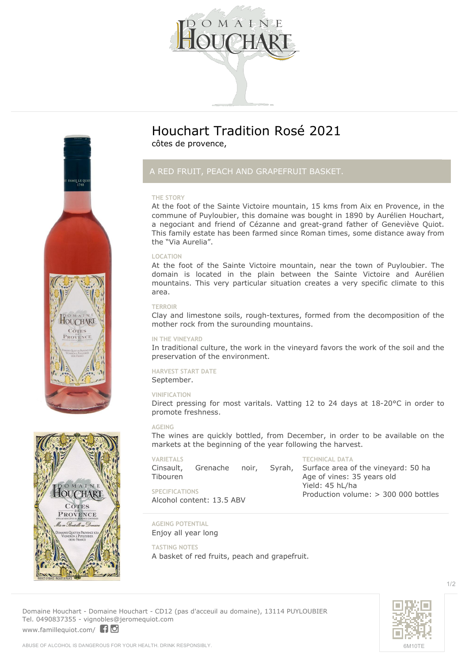

**Houchart Tradition Rosé 2021** côtes de provence,

## *A RED FRUIT, PEACH AND GRAPEFRUIT BASKET.*

## **THE STORY**

At the foot of the Sainte Victoire mountain, 15 kms from Aix en Provence, in the commune of Puyloubier, this domaine was bought in 1890 by Aurélien Houchart, a negociant and friend of Cézanne and great-grand father of Geneviève Quiot. This family estate has been farmed since Roman times, some distance away from the "Via Aurelia".

## **LOCATION**

At the foot of the Sainte Victoire mountain, near the town of Puyloubier. The domain is located in the plain between the Sainte Victoire and Aurélien mountains. This very particular situation creates a very specific climate to this area.

#### **TERROIR**

Clay and limestone soils, rough-textures, formed from the decomposition of the mother rock from the surounding mountains.

### **IN THE VINEYARD**

In traditional culture, the work in the vineyard favors the work of the soil and the preservation of the environment.

## **HARVEST START DATE**

September.

### **VINIFICATION**

Direct pressing for most varitals. Vatting 12 to 24 days at 18-20°C in order to promote freshness.

## **AGEING**

The wines are quickly bottled, from December, in order to be available on the markets at the beginning of the year following the harvest.

**VARIETALS** Cinsault, Grenache noir, Syrah, Tibouren **SPECIFICATIONS** Alcohol content: 13.5 ABV **TECHNICAL DATA** Surface area of the vineyard: 50 ha Age of vines: 35 years old Yield: 45 hL/ha Production volume: > 300 000 bottles

**AGEING POTENTIAL**

Enjoy all year long

**TASTING NOTES**

A basket of red fruits, peach and grapefruit.

**Domaine Houchart** - Domaine Houchart - CD12 (pas d'acceuil au domaine), 13114 PUYLOUBIER Tel. 0490837355 - vignobles@jeromequiot.com <www.famillequiot.com/>10





AMILLE Q

**HOUCHART** PROVENCE